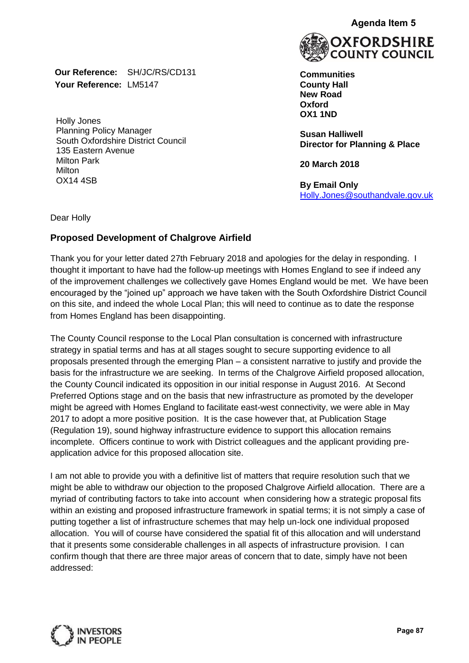**Our Reference:** SH/JC/RS/CD131 **Your Reference:** LM5147

Holly Jones Planning Policy Manager South Oxfordshire District Council 135 Eastern Avenue Milton Park **Milton** OX14 4SB



**Communities County Hall New Road Oxford OX1 1ND**

**Susan Halliwell Director for Planning & Place**

**20 March 2018**

**By Email Only** [Holly.Jones@southandvale.gov.uk](mailto:Holly.Jones@southandvale.gov.uk)

Dear Holly

## **Proposed Development of Chalgrove Airfield**

Thank you for your letter dated 27th February 2018 and apologies for the delay in responding. I thought it important to have had the follow-up meetings with Homes England to see if indeed any of the improvement challenges we collectively gave Homes England would be met. We have been encouraged by the "joined up" approach we have taken with the South Oxfordshire District Council on this site, and indeed the whole Local Plan; this will need to continue as to date the response from Homes England has been disappointing.

The County Council response to the Local Plan consultation is concerned with infrastructure strategy in spatial terms and has at all stages sought to secure supporting evidence to all proposals presented through the emerging Plan – a consistent narrative to justify and provide the basis for the infrastructure we are seeking. In terms of the Chalgrove Airfield proposed allocation, the County Council indicated its opposition in our initial response in August 2016. At Second Preferred Options stage and on the basis that new infrastructure as promoted by the developer might be agreed with Homes England to facilitate east-west connectivity, we were able in May 2017 to adopt a more positive position. It is the case however that, at Publication Stage (Regulation 19), sound highway infrastructure evidence to support this allocation remains incomplete. Officers continue to work with District colleagues and the applicant providing preapplication advice for this proposed allocation site. Agenda Item 5<br> **FORDSHIR**<br>
INTY COUNC<br>
s<br>
vin responding. I<br>
18<br>
ly<br>
<u>ly southandvale.gov.</u><br>
<br>
yin responding. I<br>
b see if indeed any<br>
met. We have been<br>
the District Counce<br>
atter the response<br>
infrastructure<br>
ence to all

I am not able to provide you with a definitive list of matters that require resolution such that we might be able to withdraw our objection to the proposed Chalgrove Airfield allocation. There are a myriad of contributing factors to take into account when considering how a strategic proposal fits within an existing and proposed infrastructure framework in spatial terms; it is not simply a case of putting together a list of infrastructure schemes that may help un-lock one individual proposed allocation. You will of course have considered the spatial fit of this allocation and will understand that it presents some considerable challenges in all aspects of infrastructure provision. I can confirm though that there are three major areas of concern that to date, simply have not been addressed:

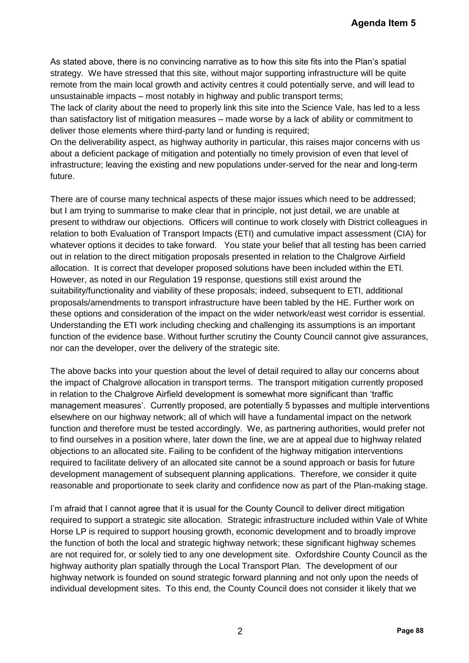As stated above, there is no convincing narrative as to how this site fits into the Plan's spatial strategy. We have stressed that this site, without major supporting infrastructure will be quite remote from the main local growth and activity centres it could potentially serve, and will lead to unsustainable impacts – most notably in highway and public transport terms;

The lack of clarity about the need to properly link this site into the Science Vale, has led to a less than satisfactory list of mitigation measures – made worse by a lack of ability or commitment to deliver those elements where third-party land or funding is required;

On the deliverability aspect, as highway authority in particular, this raises major concerns with us about a deficient package of mitigation and potentially no timely provision of even that level of infrastructure; leaving the existing and new populations under-served for the near and long-term future.

There are of course many technical aspects of these major issues which need to be addressed; but I am trying to summarise to make clear that in principle, not just detail, we are unable at present to withdraw our objections. Officers will continue to work closely with District colleagues in relation to both Evaluation of Transport Impacts (ETI) and cumulative impact assessment (CIA) for whatever options it decides to take forward. You state your belief that all testing has been carried out in relation to the direct mitigation proposals presented in relation to the Chalgrove Airfield allocation. It is correct that developer proposed solutions have been included within the ETI. However, as noted in our Regulation 19 response, questions still exist around the suitability/functionality and viability of these proposals; indeed, subsequent to ETI, additional proposals/amendments to transport infrastructure have been tabled by the HE. Further work on these options and consideration of the impact on the wider network/east west corridor is essential. Understanding the ETI work including checking and challenging its assumptions is an important function of the evidence base. Without further scrutiny the County Council cannot give assurances, nor can the developer, over the delivery of the strategic site. **Agenda Item 5**<br>
Plan's spatial<br>
re will be quite<br>
e, and will lead to<br>
to a less<br>
r commitment to<br>
r concerns with us<br>
ren that level of<br>
r concerns with us<br>
ren that level of<br>
aren and long-term<br>
to be addressed;<br>
are un

The above backs into your question about the level of detail required to allay our concerns about the impact of Chalgrove allocation in transport terms. The transport mitigation currently proposed in relation to the Chalgrove Airfield development is somewhat more significant than 'traffic management measures'. Currently proposed, are potentially 5 bypasses and multiple interventions elsewhere on our highway network; all of which will have a fundamental impact on the network function and therefore must be tested accordingly. We, as partnering authorities, would prefer not to find ourselves in a position where, later down the line, we are at appeal due to highway related objections to an allocated site. Failing to be confident of the highway mitigation interventions required to facilitate delivery of an allocated site cannot be a sound approach or basis for future development management of subsequent planning applications. Therefore, we consider it quite reasonable and proportionate to seek clarity and confidence now as part of the Plan-making stage.

I'm afraid that I cannot agree that it is usual for the County Council to deliver direct mitigation required to support a strategic site allocation. Strategic infrastructure included within Vale of White Horse LP is required to support housing growth, economic development and to broadly improve the function of both the local and strategic highway network; these significant highway schemes are not required for, or solely tied to any one development site. Oxfordshire County Council as the highway authority plan spatially through the Local Transport Plan. The development of our highway network is founded on sound strategic forward planning and not only upon the needs of individual development sites. To this end, the County Council does not consider it likely that we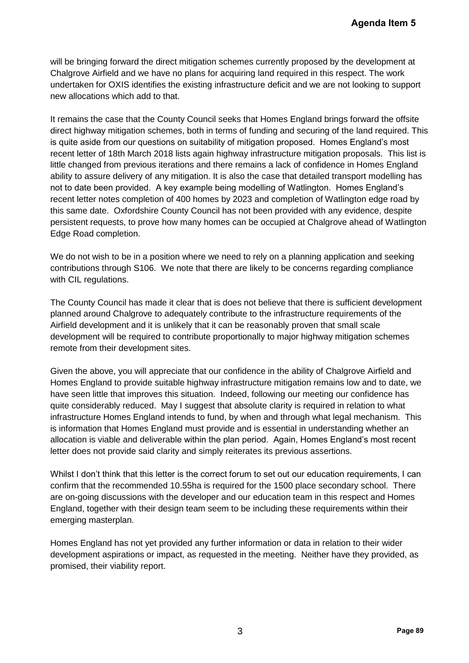will be bringing forward the direct mitigation schemes currently proposed by the development at Chalgrove Airfield and we have no plans for acquiring land required in this respect. The work undertaken for OXIS identifies the existing infrastructure deficit and we are not looking to support new allocations which add to that.

It remains the case that the County Council seeks that Homes England brings forward the offsite direct highway mitigation schemes, both in terms of funding and securing of the land required. This is quite aside from our questions on suitability of mitigation proposed. Homes England's most recent letter of 18th March 2018 lists again highway infrastructure mitigation proposals. This list is little changed from previous iterations and there remains a lack of confidence in Homes England ability to assure delivery of any mitigation. It is also the case that detailed transport modelling has not to date been provided. A key example being modelling of Watlington. Homes England's recent letter notes completion of 400 homes by 2023 and completion of Watlington edge road by this same date. Oxfordshire County Council has not been provided with any evidence, despite persistent requests, to prove how many homes can be occupied at Chalgrove ahead of Watlington Edge Road completion. **Agenda Item 5**<br> **Pagenda Item 5**<br> **Pageodoment at**<br> **Pack Agency Increading to support**<br> **Forward the offsite**<br> **Pand required. This list is to proposals. This list is not poposals. This list is not poposals. This list is** 

We do not wish to be in a position where we need to rely on a planning application and seeking contributions through S106. We note that there are likely to be concerns regarding compliance with CIL regulations.

The County Council has made it clear that is does not believe that there is sufficient development planned around Chalgrove to adequately contribute to the infrastructure requirements of the Airfield development and it is unlikely that it can be reasonably proven that small scale development will be required to contribute proportionally to major highway mitigation schemes remote from their development sites.

Given the above, you will appreciate that our confidence in the ability of Chalgrove Airfield and Homes England to provide suitable highway infrastructure mitigation remains low and to date, we have seen little that improves this situation. Indeed, following our meeting our confidence has quite considerably reduced. May I suggest that absolute clarity is required in relation to what infrastructure Homes England intends to fund, by when and through what legal mechanism. This is information that Homes England must provide and is essential in understanding whether an allocation is viable and deliverable within the plan period. Again, Homes England's most recent letter does not provide said clarity and simply reiterates its previous assertions.

Whilst I don't think that this letter is the correct forum to set out our education requirements, I can confirm that the recommended 10.55ha is required for the 1500 place secondary school. There are on-going discussions with the developer and our education team in this respect and Homes England, together with their design team seem to be including these requirements within their emerging masterplan.

Homes England has not yet provided any further information or data in relation to their wider development aspirations or impact, as requested in the meeting. Neither have they provided, as promised, their viability report.